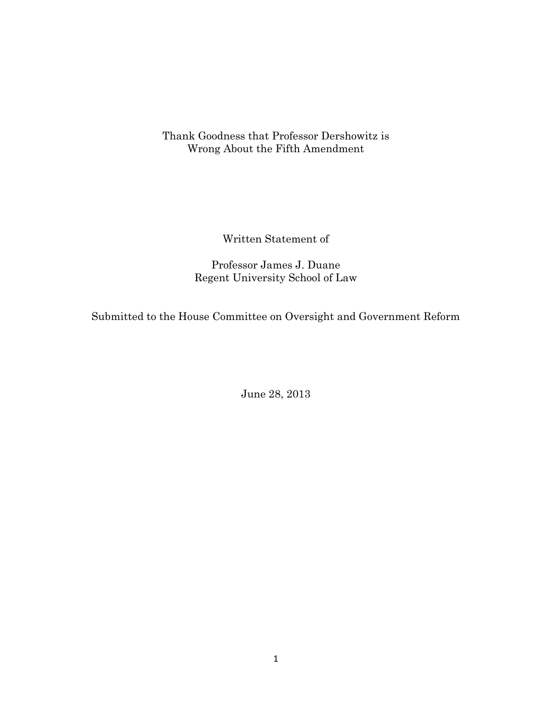Thank Goodness that Professor Dershowitz is Wrong About the Fifth Amendment

Written Statement of

Professor James J. Duane Regent University School of Law

Submitted to the House Committee on Oversight and Government Reform

June 28, 2013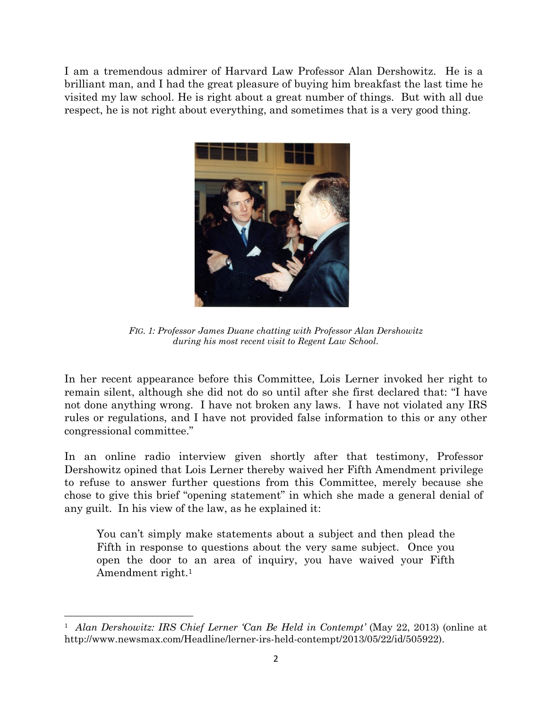I am a tremendous admirer of Harvard Law Professor Alan Dershowitz. He is a brilliant man, and I had the great pleasure of buying him breakfast the last time he visited my law school. He is right about a great number of things. But with all due respect, he is not right about everything, and sometimes that is a very good thing.



*FIG. 1: Professor James Duane chatting with Professor Alan Dershowitz during his most recent visit to Regent Law School.*

In her recent appearance before this Committee, Lois Lerner invoked her right to remain silent, although she did not do so until after she first declared that: "I have not done anything wrong. I have not broken any laws. I have not violated any IRS rules or regulations, and I have not provided false information to this or any other congressional committee."

In an online radio interview given shortly after that testimony, Professor Dershowitz opined that Lois Lerner thereby waived her Fifth Amendment privilege to refuse to answer further questions from this Committee, merely because she chose to give this brief "opening statement" in which she made a general denial of any guilt. In his view of the law, as he explained it:

You can't simply make statements about a subject and then plead the Fifth in response to questions about the very same subject. Once you open the door to an area of inquiry, you have waived your Fifth Amendment right.<sup>1</sup>

 $\overline{\phantom{a}}$ 

<sup>&</sup>lt;sup>1</sup> Alan Dershowitz: IRS Chief Lerner 'Can Be Held in Contempt' (May 22, 2013) (online at http://www.newsmax.com/Headline/lerner-irs-held-contempt/2013/05/22/id/505922).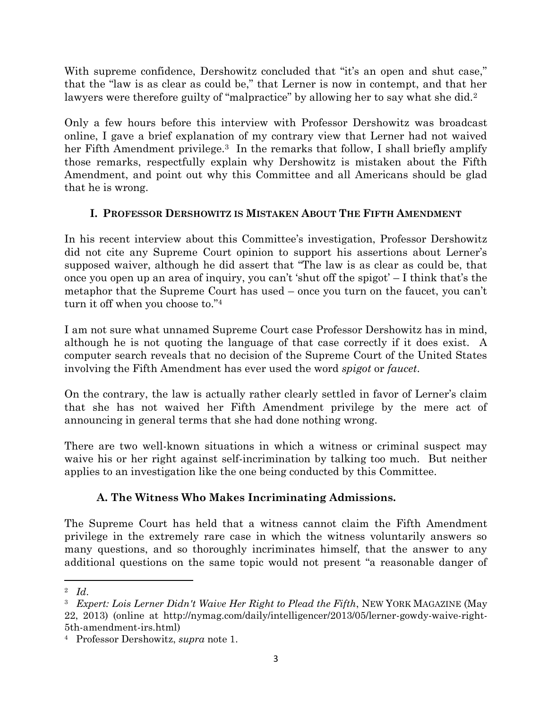With supreme confidence, Dershowitz concluded that "it's an open and shut case," that the "law is as clear as could be," that Lerner is now in contempt, and that her lawyers were therefore guilty of "malpractice" by allowing her to say what she did.<sup>2</sup>

Only a few hours before this interview with Professor Dershowitz was broadcast online, I gave a brief explanation of my contrary view that Lerner had not waived her Fifth Amendment privilege.<sup>3</sup> In the remarks that follow, I shall briefly amplify those remarks, respectfully explain why Dershowitz is mistaken about the Fifth Amendment, and point out why this Committee and all Americans should be glad that he is wrong.

## **I. PROFESSOR DERSHOWITZ IS MISTAKEN ABOUT THE FIFTH AMENDMENT**

In his recent interview about this Committee's investigation, Professor Dershowitz did not cite any Supreme Court opinion to support his assertions about Lerner's supposed waiver, although he did assert that "The law is as clear as could be, that once you open up an area of inquiry, you can't 'shut off the spigot' – I think that's the metaphor that the Supreme Court has used – once you turn on the faucet, you can't turn it off when you choose to."<sup>4</sup>

I am not sure what unnamed Supreme Court case Professor Dershowitz has in mind, although he is not quoting the language of that case correctly if it does exist. A computer search reveals that no decision of the Supreme Court of the United States involving the Fifth Amendment has ever used the word *spigot* or *faucet*.

On the contrary, the law is actually rather clearly settled in favor of Lerner's claim that she has not waived her Fifth Amendment privilege by the mere act of announcing in general terms that she had done nothing wrong.

There are two well-known situations in which a witness or criminal suspect may waive his or her right against self-incrimination by talking too much. But neither applies to an investigation like the one being conducted by this Committee.

## **A. The Witness Who Makes Incriminating Admissions.**

The Supreme Court has held that a witness cannot claim the Fifth Amendment privilege in the extremely rare case in which the witness voluntarily answers so many questions, and so thoroughly incriminates himself, that the answer to any additional questions on the same topic would not present "a reasonable danger of

 $\overline{\phantom{a}}$ 2 *Id*.

<sup>3</sup> *Expert: Lois Lerner Didn't Waive Her Right to Plead the Fifth*, NEW YORK MAGAZINE (May 22, 2013) (online at http://nymag.com/daily/intelligencer/2013/05/lerner-gowdy-waive-right-5th-amendment-irs.html)

<sup>4</sup> Professor Dershowitz, *supra* note 1.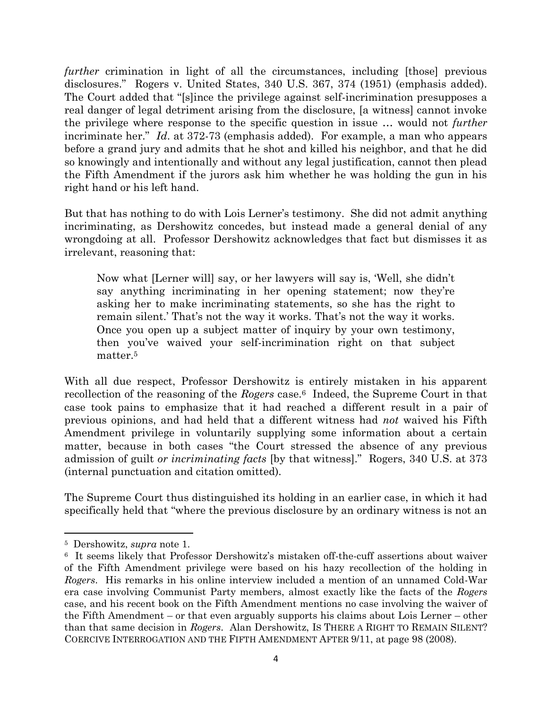*further* crimination in light of all the circumstances, including [those] previous disclosures." Rogers v. United States, 340 U.S. 367, 374 (1951) (emphasis added). The Court added that "[s]ince the privilege against self-incrimination presupposes a real danger of legal detriment arising from the disclosure, [a witness] cannot invoke the privilege where response to the specific question in issue … would not *further* incriminate her." *Id*. at 372-73 (emphasis added). For example, a man who appears before a grand jury and admits that he shot and killed his neighbor, and that he did so knowingly and intentionally and without any legal justification, cannot then plead the Fifth Amendment if the jurors ask him whether he was holding the gun in his right hand or his left hand.

But that has nothing to do with Lois Lerner's testimony. She did not admit anything incriminating, as Dershowitz concedes, but instead made a general denial of any wrongdoing at all. Professor Dershowitz acknowledges that fact but dismisses it as irrelevant, reasoning that:

Now what [Lerner will] say, or her lawyers will say is, 'Well, she didn't say anything incriminating in her opening statement; now they're asking her to make incriminating statements, so she has the right to remain silent.' That's not the way it works. That's not the way it works. Once you open up a subject matter of inquiry by your own testimony, then you've waived your self-incrimination right on that subject matter.<sup>5</sup>

With all due respect, Professor Dershowitz is entirely mistaken in his apparent recollection of the reasoning of the *Rogers* case.6 Indeed, the Supreme Court in that case took pains to emphasize that it had reached a different result in a pair of previous opinions, and had held that a different witness had *not* waived his Fifth Amendment privilege in voluntarily supplying some information about a certain matter, because in both cases "the Court stressed the absence of any previous admission of guilt *or incriminating facts* [by that witness]." Rogers, 340 U.S. at 373 (internal punctuation and citation omitted).

The Supreme Court thus distinguished its holding in an earlier case, in which it had specifically held that "where the previous disclosure by an ordinary witness is not an

 $\overline{\phantom{a}}$ 

<sup>5</sup> Dershowitz, *supra* note 1.

<sup>&</sup>lt;sup>6</sup> It seems likely that Professor Dershowitz's mistaken off-the-cuff assertions about waiver of the Fifth Amendment privilege were based on his hazy recollection of the holding in *Rogers*. His remarks in his online interview included a mention of an unnamed Cold-War era case involving Communist Party members, almost exactly like the facts of the *Rogers* case, and his recent book on the Fifth Amendment mentions no case involving the waiver of the Fifth Amendment – or that even arguably supports his claims about Lois Lerner – other than that same decision in *Rogers*. Alan Dershowitz, IS THERE A RIGHT TO REMAIN SILENT? COERCIVE INTERROGATION AND THE FIFTH AMENDMENT AFTER 9/11, at page 98 (2008).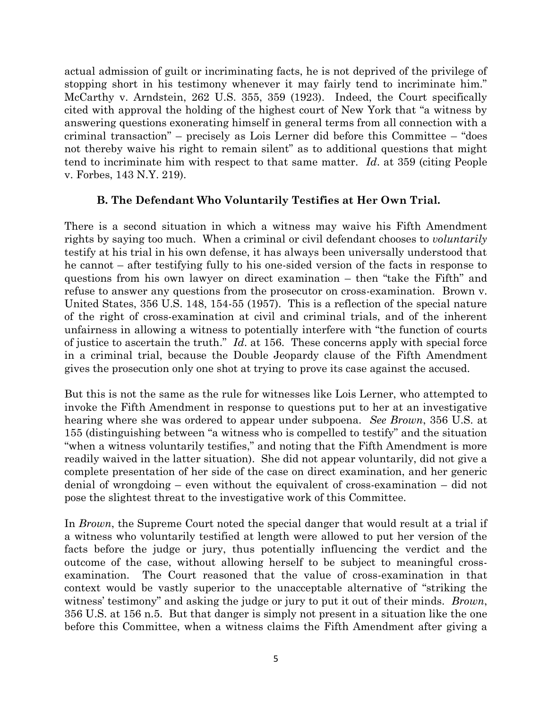actual admission of guilt or incriminating facts, he is not deprived of the privilege of stopping short in his testimony whenever it may fairly tend to incriminate him." McCarthy v. Arndstein, 262 U.S. 355, 359 (1923). Indeed, the Court specifically cited with approval the holding of the highest court of New York that "a witness by answering questions exonerating himself in general terms from all connection with a criminal transaction" – precisely as Lois Lerner did before this Committee – "does not thereby waive his right to remain silent" as to additional questions that might tend to incriminate him with respect to that same matter. *Id*. at 359 (citing People v. Forbes, 143 N.Y. 219).

## **B. The Defendant Who Voluntarily Testifies at Her Own Trial.**

There is a second situation in which a witness may waive his Fifth Amendment rights by saying too much. When a criminal or civil defendant chooses to *voluntarily* testify at his trial in his own defense, it has always been universally understood that he cannot – after testifying fully to his one-sided version of the facts in response to questions from his own lawyer on direct examination – then "take the Fifth" and refuse to answer any questions from the prosecutor on cross-examination. Brown v. United States, 356 U.S. 148, 154-55 (1957). This is a reflection of the special nature of the right of cross-examination at civil and criminal trials, and of the inherent unfairness in allowing a witness to potentially interfere with "the function of courts of justice to ascertain the truth." *Id*. at 156. These concerns apply with special force in a criminal trial, because the Double Jeopardy clause of the Fifth Amendment gives the prosecution only one shot at trying to prove its case against the accused.

But this is not the same as the rule for witnesses like Lois Lerner, who attempted to invoke the Fifth Amendment in response to questions put to her at an investigative hearing where she was ordered to appear under subpoena. *See Brown*, 356 U.S. at 155 (distinguishing between "a witness who is compelled to testify" and the situation "when a witness voluntarily testifies," and noting that the Fifth Amendment is more readily waived in the latter situation). She did not appear voluntarily, did not give a complete presentation of her side of the case on direct examination, and her generic denial of wrongdoing – even without the equivalent of cross-examination – did not pose the slightest threat to the investigative work of this Committee.

In *Brown*, the Supreme Court noted the special danger that would result at a trial if a witness who voluntarily testified at length were allowed to put her version of the facts before the judge or jury, thus potentially influencing the verdict and the outcome of the case, without allowing herself to be subject to meaningful crossexamination. The Court reasoned that the value of cross-examination in that context would be vastly superior to the unacceptable alternative of "striking the witness' testimony" and asking the judge or jury to put it out of their minds. *Brown*, 356 U.S. at 156 n.5. But that danger is simply not present in a situation like the one before this Committee, when a witness claims the Fifth Amendment after giving a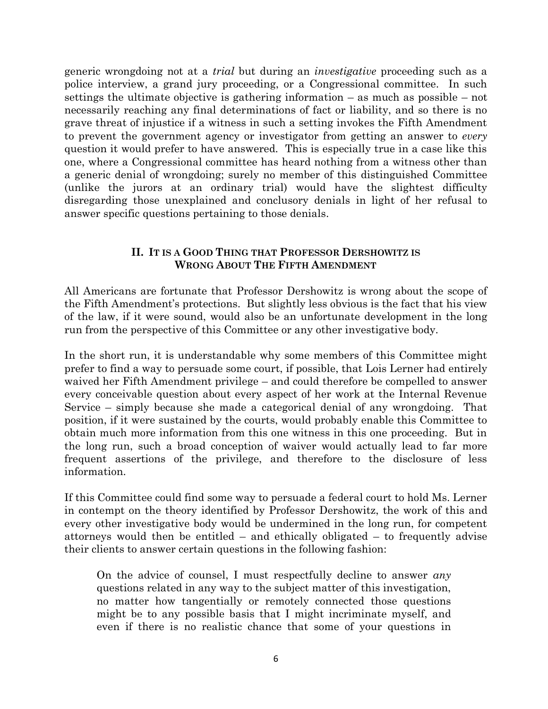generic wrongdoing not at a *trial* but during an *investigative* proceeding such as a police interview, a grand jury proceeding, or a Congressional committee. In such settings the ultimate objective is gathering information – as much as possible – not necessarily reaching any final determinations of fact or liability, and so there is no grave threat of injustice if a witness in such a setting invokes the Fifth Amendment to prevent the government agency or investigator from getting an answer to *every* question it would prefer to have answered. This is especially true in a case like this one, where a Congressional committee has heard nothing from a witness other than a generic denial of wrongdoing; surely no member of this distinguished Committee (unlike the jurors at an ordinary trial) would have the slightest difficulty disregarding those unexplained and conclusory denials in light of her refusal to answer specific questions pertaining to those denials.

## **II. IT IS A GOOD THING THAT PROFESSOR DERSHOWITZ IS WRONG ABOUT THE FIFTH AMENDMENT**

All Americans are fortunate that Professor Dershowitz is wrong about the scope of the Fifth Amendment's protections. But slightly less obvious is the fact that his view of the law, if it were sound, would also be an unfortunate development in the long run from the perspective of this Committee or any other investigative body.

In the short run, it is understandable why some members of this Committee might prefer to find a way to persuade some court, if possible, that Lois Lerner had entirely waived her Fifth Amendment privilege – and could therefore be compelled to answer every conceivable question about every aspect of her work at the Internal Revenue Service – simply because she made a categorical denial of any wrongdoing. That position, if it were sustained by the courts, would probably enable this Committee to obtain much more information from this one witness in this one proceeding. But in the long run, such a broad conception of waiver would actually lead to far more frequent assertions of the privilege, and therefore to the disclosure of less information.

If this Committee could find some way to persuade a federal court to hold Ms. Lerner in contempt on the theory identified by Professor Dershowitz, the work of this and every other investigative body would be undermined in the long run, for competent attorneys would then be entitled – and ethically obligated – to frequently advise their clients to answer certain questions in the following fashion:

On the advice of counsel, I must respectfully decline to answer *any* questions related in any way to the subject matter of this investigation, no matter how tangentially or remotely connected those questions might be to any possible basis that I might incriminate myself, and even if there is no realistic chance that some of your questions in